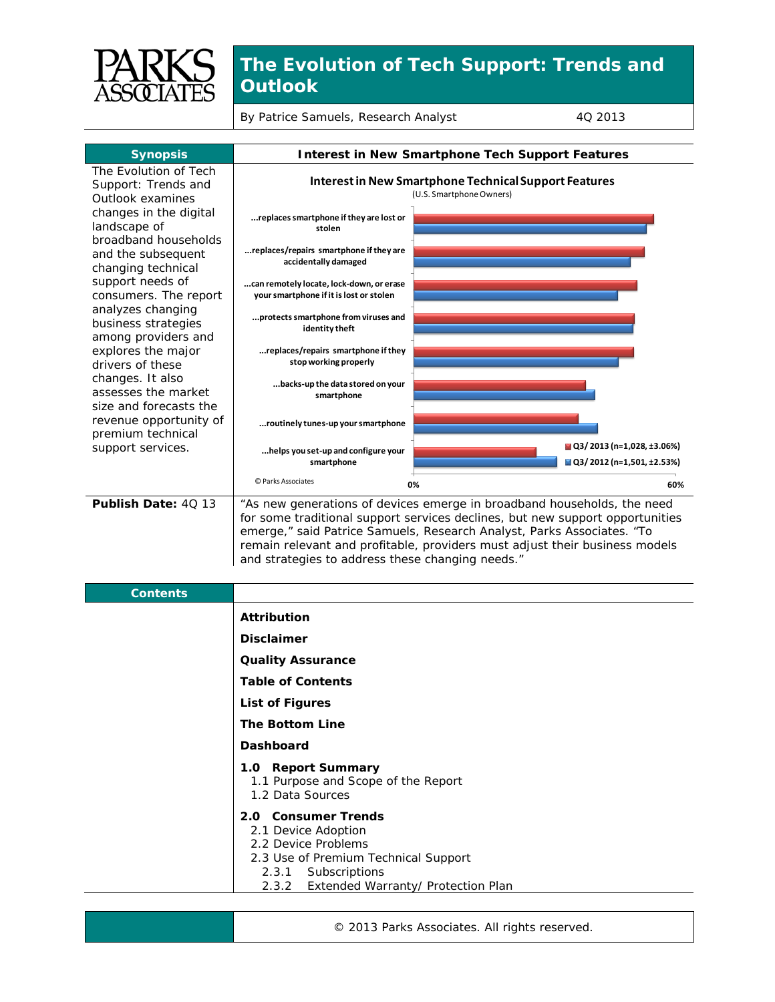

## **The Evolution of Tech Support: Trends and Outlook**

By Patrice Samuels, Research Analyst 4Q 2013

| <b>Synopsis</b>                                                  | <b>Interest in New Smartphone Tech Support Features</b>                                                                                                                                                                                                                                                                                                               |  |
|------------------------------------------------------------------|-----------------------------------------------------------------------------------------------------------------------------------------------------------------------------------------------------------------------------------------------------------------------------------------------------------------------------------------------------------------------|--|
| The Evolution of Tech<br>Support: Trends and<br>Outlook examines | Interest in New Smartphone Technical Support Features<br>(U.S. Smartphone Owners)                                                                                                                                                                                                                                                                                     |  |
| changes in the digital<br>landscape of<br>broadband households   | replaces smartphone if they are lost or<br>stolen                                                                                                                                                                                                                                                                                                                     |  |
| and the subsequent<br>changing technical                         | replaces/repairs smartphone if they are<br>accidentally damaged                                                                                                                                                                                                                                                                                                       |  |
| support needs of<br>consumers. The report<br>analyzes changing   | can remotely locate, lock-down, or erase<br>your smartphone if it is lost or stolen                                                                                                                                                                                                                                                                                   |  |
| business strategies<br>among providers and                       | protects smartphone from viruses and<br>identity theft                                                                                                                                                                                                                                                                                                                |  |
| explores the major<br>drivers of these<br>changes. It also       | replaces/repairs smartphone if they<br>stop working properly                                                                                                                                                                                                                                                                                                          |  |
| assesses the market<br>size and forecasts the                    | backs-up the data stored on your<br>smartphone                                                                                                                                                                                                                                                                                                                        |  |
| revenue opportunity of<br>premium technical                      | routinely tunes-up your smartphone                                                                                                                                                                                                                                                                                                                                    |  |
| support services.                                                | $\blacksquare$ Q3/2013 (n=1,028, ±3.06%)<br>helps you set-up and configure your<br>■ Q3/2012 (n=1,501, ±2.53%)<br>smartphone                                                                                                                                                                                                                                          |  |
|                                                                  | © Parks Associates<br>0%<br>60%                                                                                                                                                                                                                                                                                                                                       |  |
| Publish Date: 40 13                                              | "As new generations of devices emerge in broadband households, the need<br>for some traditional support services declines, but new support opportunities<br>emerge," said Patrice Samuels, Research Analyst, Parks Associates. "To<br>remain relevant and profitable, providers must adjust their business models<br>and strategies to address these changing needs." |  |
| <b>Contents</b>                                                  |                                                                                                                                                                                                                                                                                                                                                                       |  |
|                                                                  | <b>Attribution</b>                                                                                                                                                                                                                                                                                                                                                    |  |
|                                                                  | <b>Disclaimer</b>                                                                                                                                                                                                                                                                                                                                                     |  |
|                                                                  | <b>Quality Assurance</b>                                                                                                                                                                                                                                                                                                                                              |  |
|                                                                  | <b>Table of Contents</b>                                                                                                                                                                                                                                                                                                                                              |  |
|                                                                  | <b>List of Figures</b>                                                                                                                                                                                                                                                                                                                                                |  |
|                                                                  | <b>The Bottom Line</b>                                                                                                                                                                                                                                                                                                                                                |  |
|                                                                  | Dashboard                                                                                                                                                                                                                                                                                                                                                             |  |
|                                                                  | 1.0 Report Summary<br>1.1 Purpose and Scope of the Report<br>1.2 Data Sources                                                                                                                                                                                                                                                                                         |  |
|                                                                  | 2.0 Consumer Trends<br>2.1 Device Adoption<br>2.2 Device Problems<br>2.3 Use of Premium Technical Support<br>Subscriptions<br>2.3.1<br>Extended Warranty/ Protection Plan<br>2.3.2                                                                                                                                                                                    |  |

© 2013 Parks Associates. All rights reserved.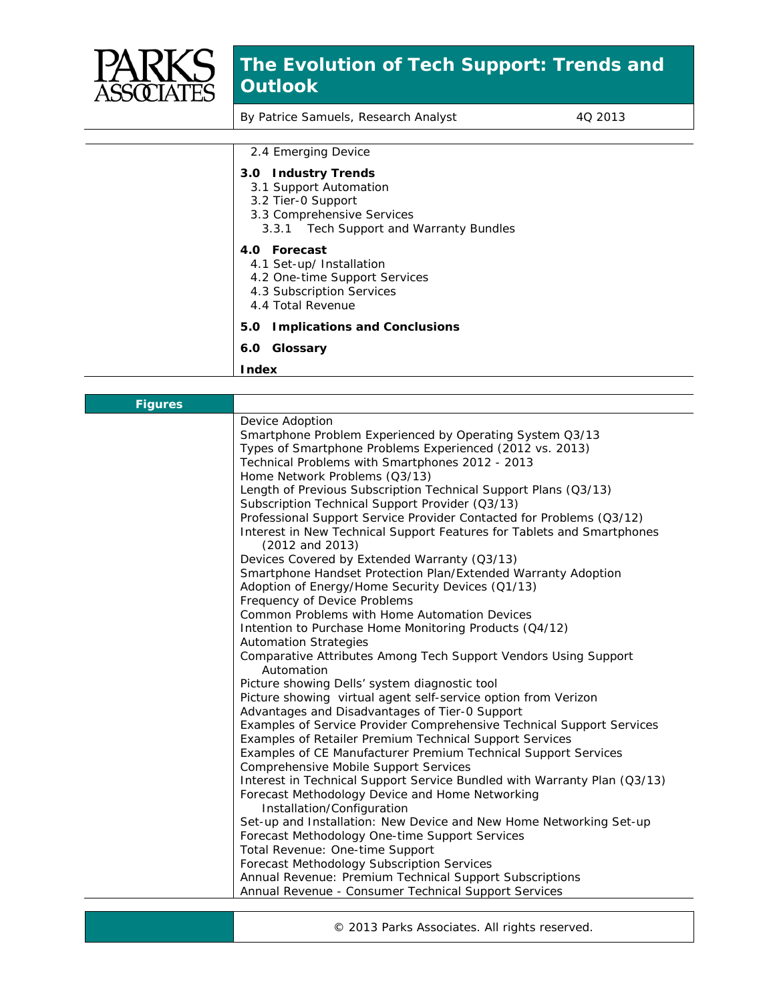

## **The Evolution of Tech Support: Trends and Outlook**

By Patrice Samuels, Research Analyst 4Q 2013

| 2.4 Emerging Device                                                                                                                          |
|----------------------------------------------------------------------------------------------------------------------------------------------|
| 3.0 Industry Trends<br>3.1 Support Automation<br>3.2 Tier-0 Support<br>3.3 Comprehensive Services<br>3.3.1 Tech Support and Warranty Bundles |
| 4.0 Forecast<br>4.1 Set-up/ Installation<br>4.2 One-time Support Services<br>4.3 Subscription Services<br>4.4 Total Revenue                  |
| 5.0 Implications and Conclusions                                                                                                             |
| 6.0 Glossary                                                                                                                                 |
| <b>Index</b>                                                                                                                                 |

| <b>Figures</b> |                                                                                           |
|----------------|-------------------------------------------------------------------------------------------|
|                | Device Adoption                                                                           |
|                | Smartphone Problem Experienced by Operating System Q3/13                                  |
|                | Types of Smartphone Problems Experienced (2012 vs. 2013)                                  |
|                | Technical Problems with Smartphones 2012 - 2013                                           |
|                | Home Network Problems (Q3/13)                                                             |
|                | Length of Previous Subscription Technical Support Plans (Q3/13)                           |
|                | Subscription Technical Support Provider (Q3/13)                                           |
|                | Professional Support Service Provider Contacted for Problems (Q3/12)                      |
|                | Interest in New Technical Support Features for Tablets and Smartphones<br>(2012 and 2013) |
|                | Devices Covered by Extended Warranty (Q3/13)                                              |
|                | Smartphone Handset Protection Plan/Extended Warranty Adoption                             |
|                | Adoption of Energy/Home Security Devices (Q1/13)                                          |
|                | Frequency of Device Problems                                                              |
|                | Common Problems with Home Automation Devices                                              |
|                | Intention to Purchase Home Monitoring Products (Q4/12)                                    |
|                | <b>Automation Strategies</b>                                                              |
|                | Comparative Attributes Among Tech Support Vendors Using Support<br>Automation             |
|                | Picture showing Dells' system diagnostic tool                                             |
|                | Picture showing virtual agent self-service option from Verizon                            |
|                | Advantages and Disadvantages of Tier-0 Support                                            |
|                | Examples of Service Provider Comprehensive Technical Support Services                     |
|                | Examples of Retailer Premium Technical Support Services                                   |
|                | Examples of CE Manufacturer Premium Technical Support Services                            |
|                | Comprehensive Mobile Support Services                                                     |
|                | Interest in Technical Support Service Bundled with Warranty Plan (Q3/13)                  |
|                | Forecast Methodology Device and Home Networking<br>Installation/Configuration             |
|                | Set-up and Installation: New Device and New Home Networking Set-up                        |
|                | Forecast Methodology One-time Support Services                                            |
|                | Total Revenue: One-time Support                                                           |
|                | Forecast Methodology Subscription Services                                                |
|                | Annual Revenue: Premium Technical Support Subscriptions                                   |
|                | Annual Revenue - Consumer Technical Support Services                                      |
|                |                                                                                           |

© 2013 Parks Associates. All rights reserved.